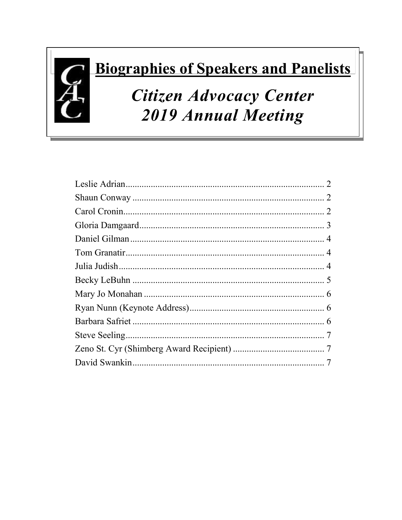# **Biographies of Speakers and Panelists**

## Citizen Advocacy Center **2019 Annual Meeting**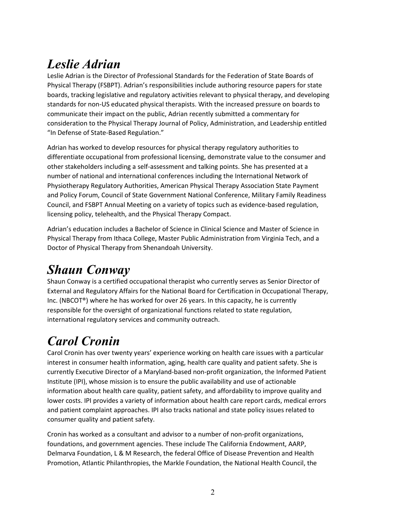## <span id="page-1-0"></span>*Leslie Adrian*

Leslie Adrian is the Director of Professional Standards for the Federation of State Boards of Physical Therapy (FSBPT). Adrian's responsibilities include authoring resource papers for state boards, tracking legislative and regulatory activities relevant to physical therapy, and developing standards for non-US educated physical therapists. With the increased pressure on boards to communicate their impact on the public, Adrian recently submitted a commentary for consideration to the Physical Therapy Journal of Policy, Administration, and Leadership entitled "In Defense of State-Based Regulation."

Adrian has worked to develop resources for physical therapy regulatory authorities to differentiate occupational from professional licensing, demonstrate value to the consumer and other stakeholders including a self-assessment and talking points. She has presented at a number of national and international conferences including the International Network of Physiotherapy Regulatory Authorities, American Physical Therapy Association State Payment and Policy Forum, Council of State Government National Conference, Military Family Readiness Council, and FSBPT Annual Meeting on a variety of topics such as evidence-based regulation, licensing policy, telehealth, and the Physical Therapy Compact.

Adrian's education includes a Bachelor of Science in Clinical Science and Master of Science in Physical Therapy from Ithaca College, Master Public Administration from Virginia Tech, and a Doctor of Physical Therapy from Shenandoah University.

#### <span id="page-1-1"></span>*Shaun Conway*

Shaun Conway is a certified occupational therapist who currently serves as Senior Director of External and Regulatory Affairs for the National Board for Certification in Occupational Therapy, Inc. (NBCOT®) where he has worked for over 26 years. In this capacity, he is currently responsible for the oversight of organizational functions related to state regulation, international regulatory services and community outreach.

## <span id="page-1-2"></span>*Carol Cronin*

Carol Cronin has over twenty years' experience working on health care issues with a particular interest in consumer health information, aging, health care quality and patient safety. She is currently Executive Director of a Maryland-based non-profit organization, the Informed Patient Institute (IPI), whose mission is to ensure the public availability and use of actionable information about health care quality, patient safety, and affordability to improve quality and lower costs. IPI provides a variety of information about health care report cards, medical errors and patient complaint approaches. IPI also tracks national and state policy issues related to consumer quality and patient safety.

Cronin has worked as a consultant and advisor to a number of non-profit organizations, foundations, and government agencies. These include The California Endowment, AARP, Delmarva Foundation, L & M Research, the federal Office of Disease Prevention and Health Promotion, Atlantic Philanthropies, the Markle Foundation, the National Health Council, the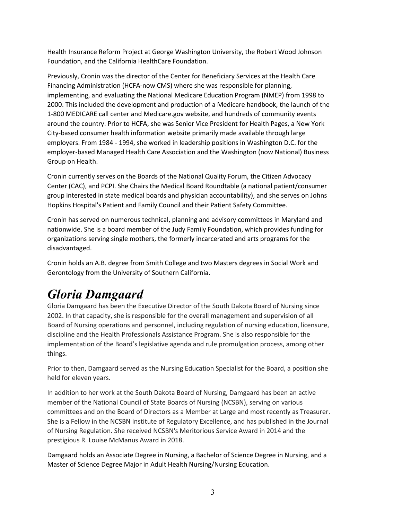Health Insurance Reform Project at George Washington University, the Robert Wood Johnson Foundation, and the California HealthCare Foundation.

Previously, Cronin was the director of the Center for Beneficiary Services at the Health Care Financing Administration (HCFA-now CMS) where she was responsible for planning, implementing, and evaluating the National Medicare Education Program (NMEP) from 1998 to 2000. This included the development and production of a Medicare handbook, the launch of the 1-800 MEDICARE call center and Medicare.gov website, and hundreds of community events around the country. Prior to HCFA, she was Senior Vice President for Health Pages, a New York City-based consumer health information website primarily made available through large employers. From 1984 - 1994, she worked in leadership positions in Washington D.C. for the employer-based Managed Health Care Association and the Washington (now National) Business Group on Health.

Cronin currently serves on the Boards of the National Quality Forum, the Citizen Advocacy Center (CAC), and PCPI. She Chairs the Medical Board Roundtable (a national patient/consumer group interested in state medical boards and physician accountability), and she serves on Johns Hopkins Hospital's Patient and Family Council and their Patient Safety Committee.

Cronin has served on numerous technical, planning and advisory committees in Maryland and nationwide. She is a board member of the Judy Family Foundation, which provides funding for organizations serving single mothers, the formerly incarcerated and arts programs for the disadvantaged.

Cronin holds an A.B. degree from Smith College and two Masters degrees in Social Work and Gerontology from the University of Southern California.

#### <span id="page-2-0"></span>*Gloria Damgaard*

Gloria Damgaard has been the Executive Director of the South Dakota Board of Nursing since 2002. In that capacity, she is responsible for the overall management and supervision of all Board of Nursing operations and personnel, including regulation of nursing education, licensure, discipline and the Health Professionals Assistance Program. She is also responsible for the implementation of the Board's legislative agenda and rule promulgation process, among other things.

Prior to then, Damgaard served as the Nursing Education Specialist for the Board, a position she held for eleven years.

In addition to her work at the South Dakota Board of Nursing, Damgaard has been an active member of the National Council of State Boards of Nursing (NCSBN), serving on various committees and on the Board of Directors as a Member at Large and most recently as Treasurer. She is a Fellow in the NCSBN Institute of Regulatory Excellence, and has published in the Journal of Nursing Regulation. She received NCSBN's Meritorious Service Award in 2014 and the prestigious R. Louise McManus Award in 2018.

Damgaard holds an Associate Degree in Nursing, a Bachelor of Science Degree in Nursing, and a Master of Science Degree Major in Adult Health Nursing/Nursing Education.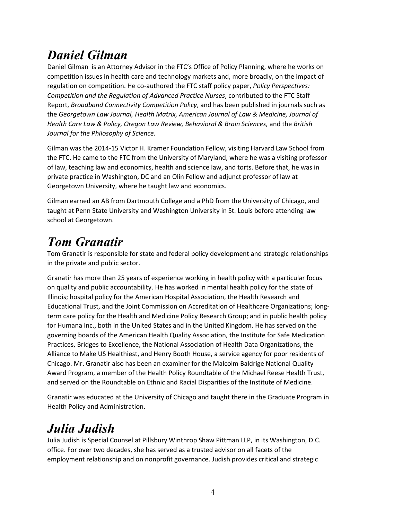## <span id="page-3-0"></span>*Daniel Gilman*

Daniel Gilman is an Attorney Advisor in the FTC's Office of Policy Planning, where he works on competition issues in health care and technology markets and, more broadly, on the impact of regulation on competition. He co-authored the FTC staff policy paper, *Policy Perspectives: Competition and the Regulation of Advanced Practice Nurses*, contributed to the FTC Staff Report, *Broadband Connectivity Competition Pol*i*cy*, and has been published in journals such as the *Georgetown Law Journal, Health Matrix, American Journal of Law & Medicine, Journal of Health Care Law & Policy, Oregon Law Review, Behavioral & Brain Sciences,* and the *British Journal for the Philosophy of Science.*

Gilman was the 2014-15 Victor H. Kramer Foundation Fellow, visiting Harvard Law School from the FTC. He came to the FTC from the University of Maryland, where he was a visiting professor of law, teaching law and economics, health and science law, and torts. Before that, he was in private practice in Washington, DC and an Olin Fellow and adjunct professor of law at Georgetown University, where he taught law and economics.

Gilman earned an AB from Dartmouth College and a PhD from the University of Chicago, and taught at Penn State University and Washington University in St. Louis before attending law school at Georgetown.

## <span id="page-3-1"></span>*Tom Granatir*

Tom Granatir is responsible for state and federal policy development and strategic relationships in the private and public sector.

Granatir has more than 25 years of experience working in health policy with a particular focus on quality and public accountability. He has worked in mental health policy for the state of Illinois; hospital policy for the American Hospital Association, the Health Research and Educational Trust, and the Joint Commission on Accreditation of Healthcare Organizations; longterm care policy for the Health and Medicine Policy Research Group; and in public health policy for Humana Inc., both in the United States and in the United Kingdom. He has served on the governing boards of the American Health Quality Association, the Institute for Safe Medication Practices, Bridges to Excellence, the National Association of Health Data Organizations, the Alliance to Make US Healthiest, and Henry Booth House, a service agency for poor residents of Chicago. Mr. Granatir also has been an examiner for the Malcolm Baldrige National Quality Award Program, a member of the Health Policy Roundtable of the Michael Reese Health Trust, and served on the Roundtable on Ethnic and Racial Disparities of the Institute of Medicine.

Granatir was educated at the University of Chicago and taught there in the Graduate Program in Health Policy and Administration.

## <span id="page-3-2"></span>*Julia Judish*

Julia Judish is Special Counsel at Pillsbury Winthrop Shaw Pittman LLP, in its Washington, D.C. office. For over two decades, she has served as a trusted advisor on all facets of the employment relationship and on nonprofit governance. Judish provides critical and strategic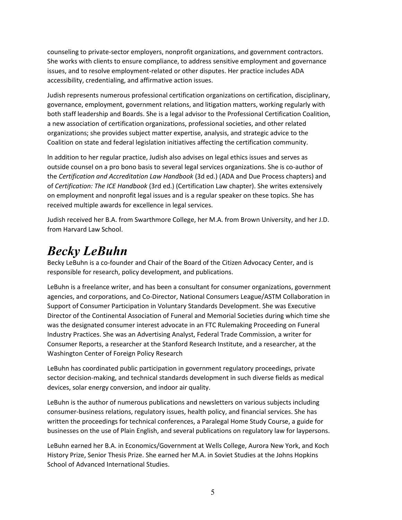counseling to private-sector employers, nonprofit organizations, and government contractors. She works with clients to ensure compliance, to address sensitive employment and governance issues, and to resolve employment-related or other disputes. Her practice includes ADA accessibility, credentialing, and affirmative action issues.

Judish represents numerous professional certification organizations on certification, disciplinary, governance, employment, government relations, and litigation matters, working regularly with both staff leadership and Boards. She is a legal advisor to the Professional Certification Coalition, a new association of certification organizations, professional societies, and other related organizations; she provides subject matter expertise, analysis, and strategic advice to the Coalition on state and federal legislation initiatives affecting the certification community.

In addition to her regular practice, Judish also advises on legal ethics issues and serves as outside counsel on a pro bono basis to several legal services organizations. She is co-author of the *Certification and Accreditation Law Handbook* (3d ed.) (ADA and Due Process chapters) and of *Certification: The ICE Handbook* (3rd ed.) (Certification Law chapter). She writes extensively on employment and nonprofit legal issues and is a regular speaker on these topics. She has received multiple awards for excellence in legal services.

Judish received her B.A. from Swarthmore College, her M.A. from Brown University, and her J.D. from Harvard Law School.

#### <span id="page-4-0"></span>*Becky LeBuhn*

Becky LeBuhn is a co-founder and Chair of the Board of the Citizen Advocacy Center, and is responsible for research, policy development, and publications.

LeBuhn is a freelance writer, and has been a consultant for consumer organizations, government agencies, and corporations, and Co-Director, National Consumers League/ASTM Collaboration in Support of Consumer Participation in Voluntary Standards Development. She was Executive Director of the Continental Association of Funeral and Memorial Societies during which time she was the designated consumer interest advocate in an FTC Rulemaking Proceeding on Funeral Industry Practices. She was an Advertising Analyst, Federal Trade Commission, a writer for Consumer Reports, a researcher at the Stanford Research Institute, and a researcher, at the Washington Center of Foreign Policy Research

LeBuhn has coordinated public participation in government regulatory proceedings, private sector decision-making, and technical standards development in such diverse fields as medical devices, solar energy conversion, and indoor air quality.

LeBuhn is the author of numerous publications and newsletters on various subjects including consumer-business relations, regulatory issues, health policy, and financial services. She has written the proceedings for technical conferences, a Paralegal Home Study Course, a guide for businesses on the use of Plain English, and several publications on regulatory law for laypersons.

LeBuhn earned her B.A. in Economics/Government at Wells College, Aurora New York, and Koch History Prize, Senior Thesis Prize. She earned her M.A. in Soviet Studies at the Johns Hopkins School of Advanced International Studies.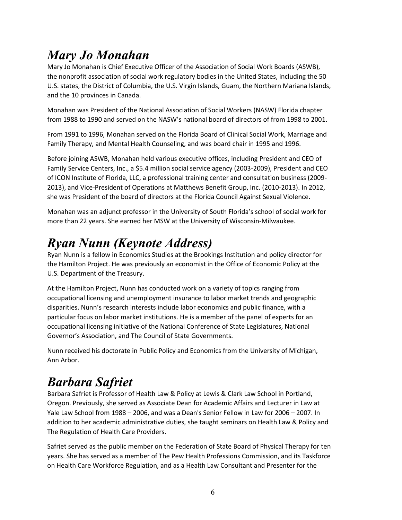### <span id="page-5-0"></span>*Mary Jo Monahan*

Mary Jo Monahan is Chief Executive Officer of the Association of Social Work Boards (ASWB), the nonprofit association of social work regulatory bodies in the United States, including the 50 U.S. states, the District of Columbia, the U.S. Virgin Islands, Guam, the Northern Mariana Islands, and the 10 provinces in Canada.

Monahan was President of the National Association of Social Workers (NASW) Florida chapter from 1988 to 1990 and served on the NASW's national board of directors of from 1998 to 2001.

From 1991 to 1996, Monahan served on the Florida Board of Clinical Social Work, Marriage and Family Therapy, and Mental Health Counseling, and was board chair in 1995 and 1996.

Before joining ASWB, Monahan held various executive offices, including President and CEO of Family Service Centers, Inc., a \$5.4 million social service agency (2003-2009), President and CEO of ICON Institute of Florida, LLC, a professional training center and consultation business (2009- 2013), and Vice-President of Operations at Matthews Benefit Group, Inc. (2010-2013). In 2012, she was President of the board of directors at the Florida Council Against Sexual Violence.

Monahan was an adjunct professor in the University of South Florida's school of social work for more than 22 years. She earned her MSW at the University of Wisconsin-Milwaukee.

### <span id="page-5-1"></span>*Ryan Nunn (Keynote Address)*

Ryan Nunn is a fellow in Economics Studies at the Brookings Institution and policy director for the Hamilton Project. He was previously an economist in the Office of Economic Policy at the U.S. Department of the Treasury.

At the Hamilton Project, Nunn has conducted work on a variety of topics ranging from occupational licensing and unemployment insurance to labor market trends and geographic disparities. Nunn's research interests include labor economics and public finance, with a particular focus on labor market institutions. He is a member of the panel of experts for an occupational licensing initiative of the National Conference of State Legislatures, National Governor's Association, and The Council of State Governments.

Nunn received his doctorate in Public Policy and Economics from the University of Michigan, Ann Arbor.

## <span id="page-5-2"></span>*Barbara Safriet*

Barbara Safriet is Professor of Health Law & Policy at Lewis & Clark Law School in Portland, Oregon. Previously, she served as Associate Dean for Academic Affairs and Lecturer in Law at Yale Law School from 1988 – 2006, and was a Dean's Senior Fellow in Law for 2006 – 2007. In addition to her academic administrative duties, she taught seminars on Health Law & Policy and The Regulation of Health Care Providers.

Safriet served as the public member on the Federation of State Board of Physical Therapy for ten years. She has served as a member of The Pew Health Professions Commission, and its Taskforce on Health Care Workforce Regulation, and as a Health Law Consultant and Presenter for the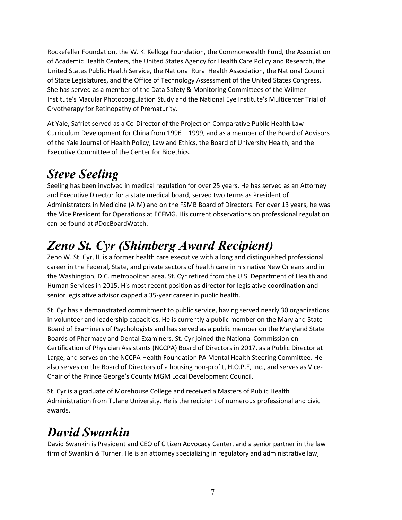Rockefeller Foundation, the W. K. Kellogg Foundation, the Commonwealth Fund, the Association of Academic Health Centers, the United States Agency for Health Care Policy and Research, the United States Public Health Service, the National Rural Health Association, the National Council of State Legislatures, and the Office of Technology Assessment of the United States Congress. She has served as a member of the Data Safety & Monitoring Committees of the Wilmer Institute's Macular Photocoagulation Study and the National Eye Institute's Multicenter Trial of Cryotherapy for Retinopathy of Prematurity.

At Yale, Safriet served as a Co-Director of the Project on Comparative Public Health Law Curriculum Development for China from 1996 – 1999, and as a member of the Board of Advisors of the Yale Journal of Health Policy, Law and Ethics, the Board of University Health, and the Executive Committee of the Center for Bioethics.

### <span id="page-6-0"></span>*Steve Seeling*

Seeling has been involved in medical regulation for over 25 years. He has served as an Attorney and Executive Director for a state medical board, served two terms as President of Administrators in Medicine (AIM) and on the FSMB Board of Directors. For over 13 years, he was the Vice President for Operations at ECFMG. His current observations on professional regulation can be found at #DocBoardWatch.

## <span id="page-6-1"></span>*Zeno St. Cyr (Shimberg Award Recipient)*

Zeno W. St. Cyr, II, is a former health care executive with a long and distinguished professional career in the Federal, State, and private sectors of health care in his native New Orleans and in the Washington, D.C. metropolitan area. St. Cyr retired from the U.S. Department of Health and Human Services in 2015. His most recent position as director for legislative coordination and senior legislative advisor capped a 35-year career in public health.

St. Cyr has a demonstrated commitment to public service, having served nearly 30 organizations in volunteer and leadership capacities. He is currently a public member on the Maryland State Board of Examiners of Psychologists and has served as a public member on the Maryland State Boards of Pharmacy and Dental Examiners. St. Cyr joined the National Commission on Certification of Physician Assistants (NCCPA) Board of Directors in 2017, as a Public Director at Large, and serves on the NCCPA Health Foundation PA Mental Health Steering Committee. He also serves on the Board of Directors of a housing non-profit, H.O.P.E, Inc., and serves as Vice-Chair of the Prince George's County MGM Local Development Council.

St. Cyr is a graduate of Morehouse College and received a Masters of Public Health Administration from Tulane University. He is the recipient of numerous professional and civic awards.

#### <span id="page-6-2"></span>*David Swankin*

David Swankin is President and CEO of Citizen Advocacy Center, and a senior partner in the law firm of Swankin & Turner. He is an attorney specializing in regulatory and administrative law,